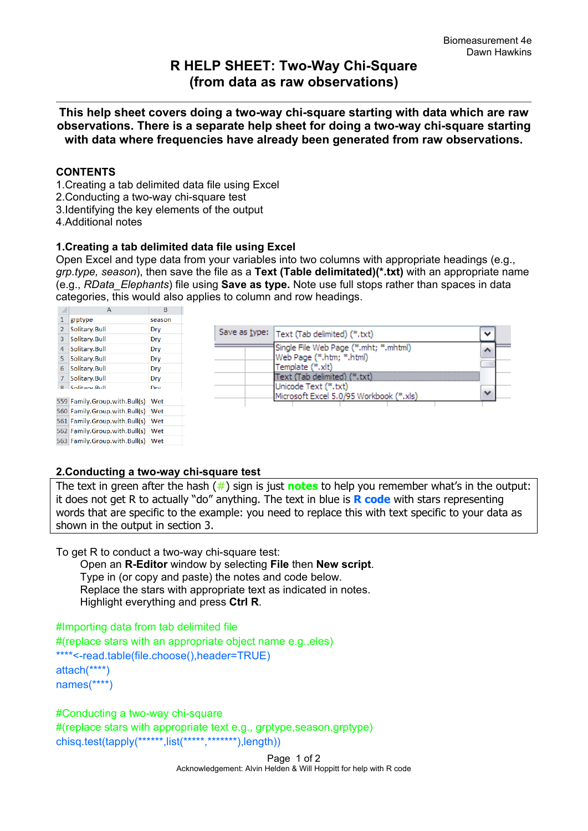# **R HELP SHEET: Two-Way Chi-Square (from data as raw observations)**

**This help sheet covers doing a two-way chi-square starting with data which are raw observations. There is a separate help sheet for doing a two-way chi-square starting with data where frequencies have already been generated from raw observations.**

### **CONTENTS**

- 1.Creating a tab delimited data file using Excel
- 2.Conducting a two-way chi-square test
- 3.Identifying the key elements of the output
- 4.Additional notes

#### **1.Creating a tab delimited data file using Excel**

Open Excel and type data from your variables into two columns with appropriate headings (e.g., *grp.type, season*), then save the file as a **Text (Table delimitated)(\*.txt)** with an appropriate name (e.g., *RData\_Elephants*) file using **Save as type.** Note use full stops rather than spaces in data categories, this would also applies to column and row headings.



### **2.Conducting a two-way chi-square test**

The text in green after the hash (**#**) sign is just **notes** to help you remember what's in the output: it does not get R to actually "do" anything. The text in blue is **R code** with stars representing words that are specific to the example: you need to replace this with text specific to your data as shown in the output in section 3.

To get R to conduct a two-way chi-square test:

 Open an **R-Editor** window by selecting **File** then **New script**. Type in (or copy and paste) the notes and code below. Replace the stars with appropriate text as indicated in notes. Highlight everything and press **Ctrl R**.

#Importing data from tab delimited file #(replace stars with an appropriate object name e.g.,eles) \*\*\*\*<-read.table(file.choose(),header=TRUE) attach(\*\*\*\*) names(\*\*\*\*)

#Conducting a two-way chi-square

#(replace stars with appropriate text e.g., grptype,season,grptype) chisq.test(tapply(\*\*\*\*\*\*,list(\*\*\*\*\*,\*\*\*\*\*\*\*),length))

> Page 1 of 2 Acknowledgement: Alvin Helden & Will Hoppitt for help with R code